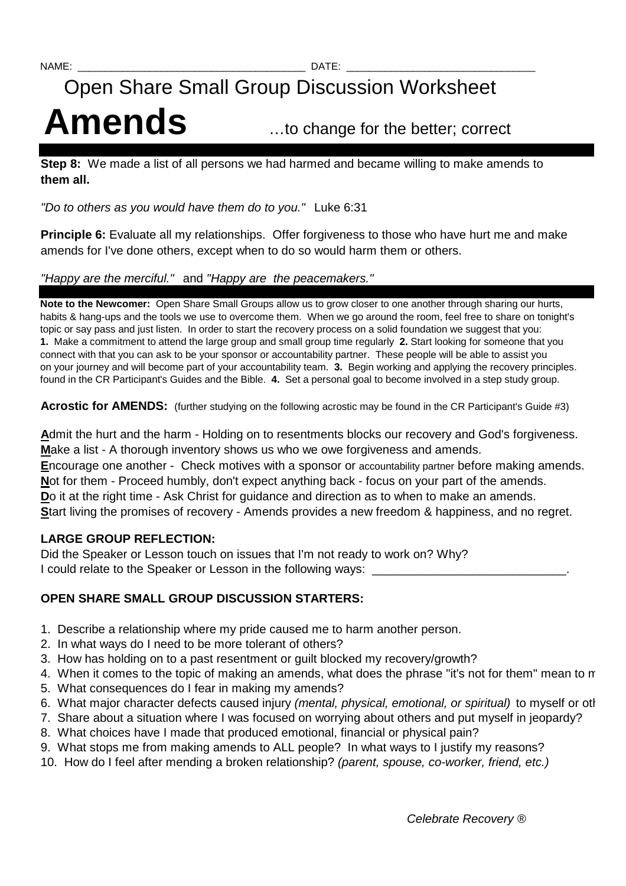# Open Share Small Group Discussion Worksheet Amends ...to change for the better; correct

**Step 8:** We made a list of all persons we had harmed and became willing to make amends to **them all.** 

"Do to others as you would have them do to you." Luke 6:31

**Principle 6:** Evaluate all my relationships. Offer forgiveness to those who have hurt me and make amends for I've done others, except when to do so would harm them or others.

### "Happy are the merciful." and "Happy are the peacemakers."

**Note to the Newcomer:** Open Share Small Groups allow us to grow closer to one another through sharing our hurts, habits & hang-ups and the tools we use to overcome them. When we go around the room, feel free to share on tonight's topic or say pass and just listen. In order to start the recovery process on a solid foundation we suggest that you: **1.** Make a commitment to attend the large group and small group time regularly **2.** Start looking for someone that you connect with that you can ask to be your sponsor or accountability partner. These people will be able to assist you on your journey and will become part of your accountability team. **3.** Begin working and applying the recovery principles. found in the CR Participant's Guides and the Bible. **4.** Set a personal goal to become involved in a step study group.

Acrostic for AMENDS: (further studying on the following acrostic may be found in the CR Participant's Guide #3)

**A**dmit the hurt and the harm - Holding on to resentments blocks our recovery and God's forgiveness. **M**ake a list - A thorough inventory shows us who we owe forgiveness and amends. **E**ncourage one another - Check motives with a sponsor or accountability partner before making amends. **N**ot for them - Proceed humbly, don't expect anything back - focus on your part of the amends. **Do** it at the right time - Ask Christ for guidance and direction as to when to make an amends. Start living the promises of recovery - Amends provides a new freedom & happiness, and no regret.

## **LARGE GROUP REFLECTION:**

Did the Speaker or Lesson touch on issues that I'm not ready to work on? Why? I could relate to the Speaker or Lesson in the following ways:

## **OPEN SHARE SMALL GROUP DISCUSSION STARTERS:**

- 1. Describe a relationship where my pride caused me to harm another person.
- 2. In what ways do I need to be more tolerant of others?
- 3. How has holding on to a past resentment or guilt blocked my recovery/growth?
- 4. When it comes to the topic of making an amends, what does the phrase "it's not for them" mean to me
- 5. What consequences do I fear in making my amends?
- 6. What major character defects caused injury (mental, physical, emotional, or spiritual) to myself or other
- 7. Share about a situation where I was focused on worrying about others and put myself in jeopardy?
- 8. What choices have I made that produced emotional, financial or physical pain?
- 9. What stops me from making amends to ALL people? In what ways to I justify my reasons?
- 10. How do I feel after mending a broken relationship? (parent, spouse, co-worker, friend, etc.)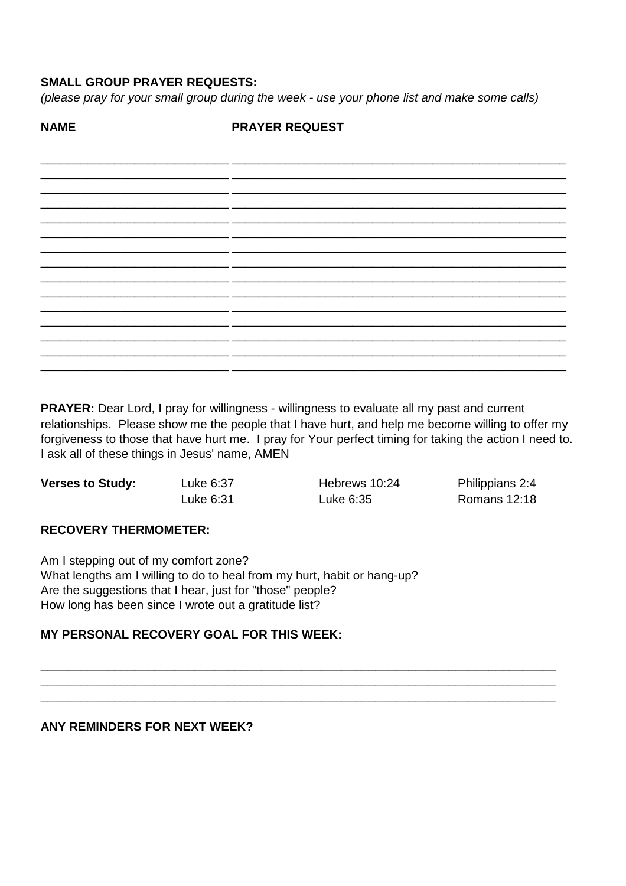## **SMALL GROUP PRAYER REQUESTS:**

(please pray for your small group during the week - use your phone list and make some calls)

**NAME PRAYER REQUEST** 

**PRAYER:** Dear Lord, I pray for willingness - willingness to evaluate all my past and current relationships. Please show me the people that I have hurt, and help me become willing to offer my forgiveness to those that have hurt me. I pray for Your perfect timing for taking the action I need to. I ask all of these things in Jesus' name, AMEN

| <b>Verses to Study:</b> | Luke 6:37 | Hebrews 10:24 | Philippians 2:4 |
|-------------------------|-----------|---------------|-----------------|
|                         | Luke 6:31 | Luke 6:35     | Romans 12:18    |

#### **RECOVERY THERMOMETER:**

Am I stepping out of my comfort zone? What lengths am I willing to do to heal from my hurt, habit or hang-up? Are the suggestions that I hear, just for "those" people? How long has been since I wrote out a gratitude list?

#### **MY PERSONAL RECOVERY GOAL FOR THIS WEEK:**

#### ANY REMINDERS FOR NEXT WEEK?